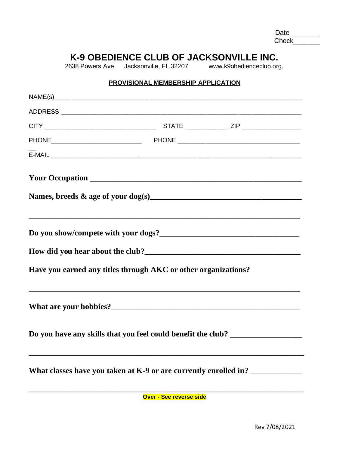Date\_\_\_\_\_\_\_\_ Check\_\_\_\_\_\_\_

## **K-9 OBEDIENCE CLUB OF JACKSONVILLE INC.**

2638 Powers Ave. Jacksonville, FL 32207 [www.k9obedienceclub.org.](http://www.k9obedienceclub.org/)

## **PROVISIONAL MEMBERSHIP APPLICATION**

| Have you earned any titles through AKC or other organizations?                                                       |  |
|----------------------------------------------------------------------------------------------------------------------|--|
|                                                                                                                      |  |
| Do you have any skills that you feel could benefit the club? ___________________                                     |  |
| What classes have you taken at K-9 or are currently enrolled in?                                                     |  |
| <u> 1999 - Johann John Harry Harry Harry Harry Harry Harry Harry Harry Harry Harry Harry Harry Harry Harry Harry</u> |  |

**Over - See reverse side**